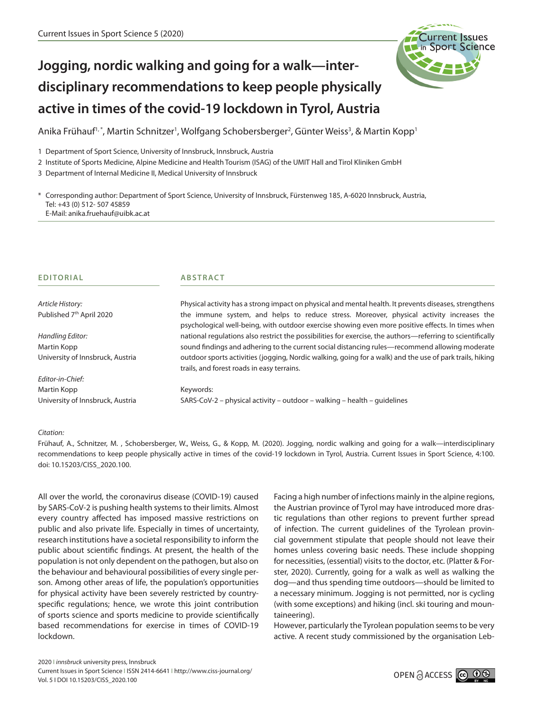

# **Jogging, nordic walking and going for a walk—interdisciplinary recommendations to keep people physically active in times of the covid-19 lockdown in Tyrol, Austria**

Anika Frühauf1,\*, Martin Schnitzer1, Wolfgang Schobersberger<sup>2</sup>, Günter Weiss<sup>3</sup>, & Martin Kopp<sup>1</sup>

1 Department of Sport Science, University of Innsbruck, Innsbruck, Austria

- 2 Institute of Sports Medicine, Alpine Medicine and Health Tourism (ISAG) of the UMIT Hall and Tirol Kliniken GmbH
- 3 Department of Internal Medicine II, Medical University of Innsbruck
- \* Corresponding author: Department of Sport Science, University of Innsbruck, Fürstenweg 185, A-6020 Innsbruck, Austria, Tel: +43 (0) 512- 507 45859 E-Mail: anika.fruehauf@uibk.ac.at

### **E D I TO R I A L**

*Article History:* Published 7<sup>th</sup> April 2020

*Handling Editor:* Martin Kopp University of Innsbruck, Austria

*Editor-in-Chief:* Martin Kopp University of Innsbruck, Austria

### **ABSTRACT**

Physical activity has a strong impact on physical and mental health. It prevents diseases, strengthens the immune system, and helps to reduce stress. Moreover, physical activity increases the psychological well-being, with outdoor exercise showing even more positive effects. In times when national regulations also restrict the possibilities for exercise, the authors—referring to scientifically sound findings and adhering to the current social distancing rules—recommend allowing moderate outdoor sports activities (jogging, Nordic walking, going for a walk) and the use of park trails, hiking trails, and forest roads in easy terrains.

Keywords: SARS-CoV-2 – physical activity – outdoor – walking – health – guidelines

### *Citation:*

Frühauf, A., Schnitzer, M. , Schobersberger, W., Weiss, G., & Kopp, M. (2020). Jogging, nordic walking and going for a walk—interdisciplinary recommendations to keep people physically active in times of the covid-19 lockdown in Tyrol, Austria. Current Issues in Sport Science, 4:100. doi: 10.15203/CISS\_2020.100.

All over the world, the coronavirus disease (COVID-19) caused by SARS-CoV-2 is pushing health systems to their limits. Almost every country affected has imposed massive restrictions on public and also private life. Especially in times of uncertainty, research institutions have a societal responsibility to inform the public about scientific findings. At present, the health of the population is not only dependent on the pathogen, but also on the behaviour and behavioural possibilities of every single person. Among other areas of life, the population's opportunities for physical activity have been severely restricted by countryspecific regulations; hence, we wrote this joint contribution of sports science and sports medicine to provide scientifically based recommendations for exercise in times of COVID-19 lockdown.

Facing a high number of infections mainly in the alpine regions, the Austrian province of Tyrol may have introduced more drastic regulations than other regions to prevent further spread of infection. The current guidelines of the Tyrolean provincial government stipulate that people should not leave their homes unless covering basic needs. These include shopping for necessities, (essential) visits to the doctor, etc. (Platter & Forster, 2020). Currently, going for a walk as well as walking the dog—and thus spending time outdoors—should be limited to a necessary minimum. Jogging is not permitted, nor is cycling (with some exceptions) and hiking (incl. ski touring and mountaineering).

However, particularly the Tyrolean population seems to be very active. A recent study commissioned by the organisation Leb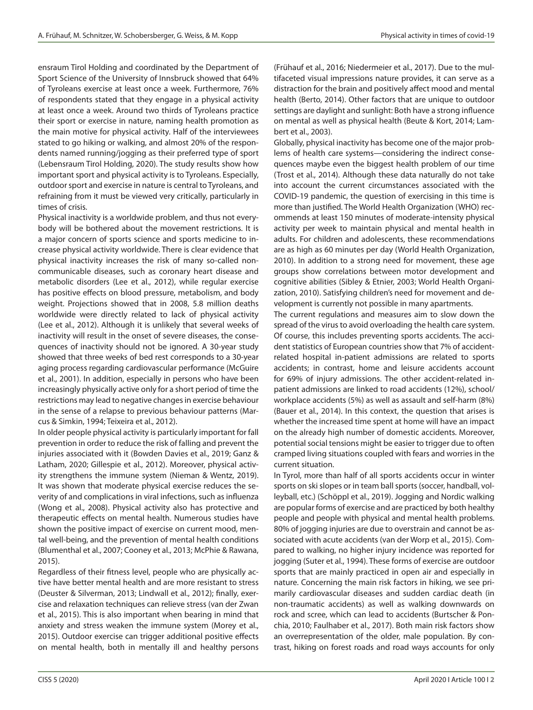ensraum Tirol Holding and coordinated by the Department of Sport Science of the University of Innsbruck showed that 64% of Tyroleans exercise at least once a week. Furthermore, 76% of respondents stated that they engage in a physical activity at least once a week. Around two thirds of Tyroleans practice their sport or exercise in nature, naming health promotion as the main motive for physical activity. Half of the interviewees stated to go hiking or walking, and almost 20% of the respondents named running/jogging as their preferred type of sport (Lebensraum Tirol Holding, 2020). The study results show how important sport and physical activity is to Tyroleans. Especially, outdoor sport and exercise in nature is central to Tyroleans, and refraining from it must be viewed very critically, particularly in times of crisis.

Physical inactivity is a worldwide problem, and thus not everybody will be bothered about the movement restrictions. It is a major concern of sports science and sports medicine to increase physical activity worldwide. There is clear evidence that physical inactivity increases the risk of many so-called noncommunicable diseases, such as coronary heart disease and metabolic disorders (Lee et al., 2012), while regular exercise has positive effects on blood pressure, metabolism, and body weight. Projections showed that in 2008, 5.8 million deaths worldwide were directly related to lack of physical activity (Lee et al., 2012). Although it is unlikely that several weeks of inactivity will result in the onset of severe diseases, the consequences of inactivity should not be ignored. A 30-year study showed that three weeks of bed rest corresponds to a 30-year aging process regarding cardiovascular performance (McGuire et al., 2001). In addition, especially in persons who have been increasingly physically active only for a short period of time the restrictions may lead to negative changes in exercise behaviour in the sense of a relapse to previous behaviour patterns (Marcus & Simkin, 1994; Teixeira et al., 2012).

In older people physical activity is particularly important for fall prevention in order to reduce the risk of falling and prevent the injuries associated with it (Bowden Davies et al., 2019; Ganz & Latham, 2020; Gillespie et al., 2012). Moreover, physical activity strengthens the immune system (Nieman & Wentz, 2019). It was shown that moderate physical exercise reduces the severity of and complications in viral infections, such as influenza (Wong et al., 2008). Physical activity also has protective and therapeutic effects on mental health. Numerous studies have shown the positive impact of exercise on current mood, mental well-being, and the prevention of mental health conditions (Blumenthal et al., 2007; Cooney et al., 2013; McPhie & Rawana, 2015).

Regardless of their fitness level, people who are physically active have better mental health and are more resistant to stress (Deuster & Silverman, 2013; Lindwall et al., 2012); finally, exercise and relaxation techniques can relieve stress (van der Zwan et al., 2015). This is also important when bearing in mind that anxiety and stress weaken the immune system (Morey et al., 2015). Outdoor exercise can trigger additional positive effects on mental health, both in mentally ill and healthy persons

(Frühauf et al., 2016; Niedermeier et al., 2017). Due to the multifaceted visual impressions nature provides, it can serve as a distraction for the brain and positively affect mood and mental health (Berto, 2014). Other factors that are unique to outdoor settings are daylight and sunlight: Both have a strong influence on mental as well as physical health (Beute & Kort, 2014; Lambert et al., 2003).

Globally, physical inactivity has become one of the major problems of health care systems—considering the indirect consequences maybe even the biggest health problem of our time (Trost et al., 2014). Although these data naturally do not take into account the current circumstances associated with the COVID-19 pandemic, the question of exercising in this time is more than justified. The World Health Organization (WHO) recommends at least 150 minutes of moderate-intensity physical activity per week to maintain physical and mental health in adults. For children and adolescents, these recommendations are as high as 60 minutes per day (World Health Organization, 2010). In addition to a strong need for movement, these age groups show correlations between motor development and cognitive abilities (Sibley & Etnier, 2003; World Health Organization, 2010). Satisfying children's need for movement and development is currently not possible in many apartments.

The current regulations and measures aim to slow down the spread of the virus to avoid overloading the health care system. Of course, this includes preventing sports accidents. The accident statistics of European countries show that 7% of accidentrelated hospital in-patient admissions are related to sports accidents; in contrast, home and leisure accidents account for 69% of injury admissions. The other accident-related inpatient admissions are linked to road accidents (12%), school/ workplace accidents (5%) as well as assault and self-harm (8%) (Bauer et al., 2014). In this context, the question that arises is whether the increased time spent at home will have an impact on the already high number of domestic accidents. Moreover, potential social tensions might be easier to trigger due to often cramped living situations coupled with fears and worries in the current situation.

In Tyrol, more than half of all sports accidents occur in winter sports on ski slopes or in team ball sports (soccer, handball, volleyball, etc.) (Schöppl et al., 2019). Jogging and Nordic walking are popular forms of exercise and are practiced by both healthy people and people with physical and mental health problems. 80% of jogging injuries are due to overstrain and cannot be associated with acute accidents (van der Worp et al., 2015). Compared to walking, no higher injury incidence was reported for jogging (Suter et al., 1994). These forms of exercise are outdoor sports that are mainly practiced in open air and especially in nature. Concerning the main risk factors in hiking, we see primarily cardiovascular diseases and sudden cardiac death (in non-traumatic accidents) as well as walking downwards on rock and scree, which can lead to accidents (Burtscher & Ponchia, 2010; Faulhaber et al., 2017). Both main risk factors show an overrepresentation of the older, male population. By contrast, hiking on forest roads and road ways accounts for only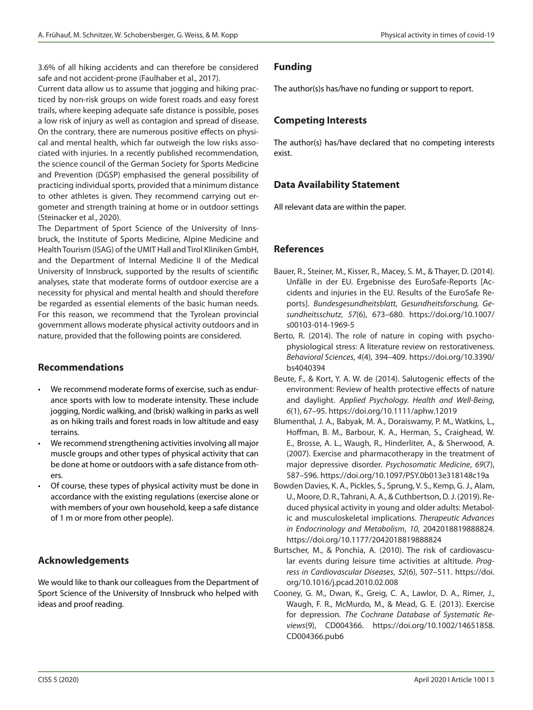3.6% of all hiking accidents and can therefore be considered safe and not accident-prone (Faulhaber et al., 2017).

Current data allow us to assume that jogging and hiking practiced by non-risk groups on wide forest roads and easy forest trails, where keeping adequate safe distance is possible, poses a low risk of injury as well as contagion and spread of disease. On the contrary, there are numerous positive effects on physical and mental health, which far outweigh the low risks associated with injuries. In a recently published recommendation, the science council of the German Society for Sports Medicine and Prevention (DGSP) emphasised the general possibility of practicing individual sports, provided that a minimum distance to other athletes is given. They recommend carrying out ergometer and strength training at home or in outdoor settings (Steinacker et al., 2020).

The Department of Sport Science of the University of Innsbruck, the Institute of Sports Medicine, Alpine Medicine and Health Tourism (ISAG) of the UMIT Hall and Tirol Kliniken GmbH, and the Department of Internal Medicine II of the Medical University of Innsbruck, supported by the results of scientific analyses, state that moderate forms of outdoor exercise are a necessity for physical and mental health and should therefore be regarded as essential elements of the basic human needs. For this reason, we recommend that the Tyrolean provincial government allows moderate physical activity outdoors and in nature, provided that the following points are considered.

## **Recommendations**

- We recommend moderate forms of exercise, such as endurance sports with low to moderate intensity. These include jogging, Nordic walking, and (brisk) walking in parks as well as on hiking trails and forest roads in low altitude and easy terrains.
- We recommend strengthening activities involving all major muscle groups and other types of physical activity that can be done at home or outdoors with a safe distance from others.
- Of course, these types of physical activity must be done in accordance with the existing regulations (exercise alone or with members of your own household, keep a safe distance of 1 m or more from other people).

# **Acknowledgements**

We would like to thank our colleagues from the Department of Sport Science of the University of Innsbruck who helped with ideas and proof reading.

# **Funding**

The author(s)s has/have no funding or support to report.

# **Competing Interests**

The author(s) has/have declared that no competing interests exist.

# **Data Availability Statement**

All relevant data are within the paper.

## **References**

- Bauer, R., Steiner, M., Kisser, R., Macey, S. M., & Thayer, D. (2014). Unfälle in der EU. Ergebnisse des EuroSafe-Reports [Accidents and injuries in the EU. Results of the EuroSafe Reports]. *Bundesgesundheitsblatt, Gesundheitsforschung, Gesundheitsschutz*, *57*(6), 673–680. https://doi.org/10.1007/ s00103-014-1969-5
- Berto, R. (2014). The role of nature in coping with psychophysiological stress: A literature review on restorativeness. *Behavioral Sciences*, *4*(4), 394–409. https://doi.org/10.3390/ bs4040394
- Beute, F., & Kort, Y. A. W. de (2014). Salutogenic effects of the environment: Review of health protective effects of nature and daylight. *Applied Psychology. Health and Well-Being*, *6*(1), 67–95. https://doi.org/10.1111/aphw.12019
- Blumenthal, J. A., Babyak, M. A., Doraiswamy, P. M., Watkins, L., Hoffman, B. M., Barbour, K. A., Herman, S., Craighead, W. E., Brosse, A. L., Waugh, R., Hinderliter, A., & Sherwood, A. (2007). Exercise and pharmacotherapy in the treatment of major depressive disorder. *Psychosomatic Medicine*, *69*(7), 587–596. https://doi.org/10.1097/PSY.0b013e318148c19a
- Bowden Davies, K. A., Pickles, S., Sprung, V. S., Kemp, G. J., Alam, U., Moore, D. R., Tahrani, A. A., & Cuthbertson, D. J. (2019). Reduced physical activity in young and older adults: Metabolic and musculoskeletal implications. *Therapeutic Advances in Endocrinology and Metabolism*, *10*, 2042018819888824. https://doi.org/10.1177/2042018819888824
- Burtscher, M., & Ponchia, A. (2010). The risk of cardiovascular events during leisure time activities at altitude. *Progress in Cardiovascular Diseases*, *52*(6), 507–511. https://doi. org/10.1016/j.pcad.2010.02.008
- Cooney, G. M., Dwan, K., Greig, C. A., Lawlor, D. A., Rimer, J., Waugh, F. R., McMurdo, M., & Mead, G. E. (2013). Exercise for depression. *The Cochrane Database of Systematic Reviews*(9), CD004366. https://doi.org/10.1002/14651858. CD004366.pub6